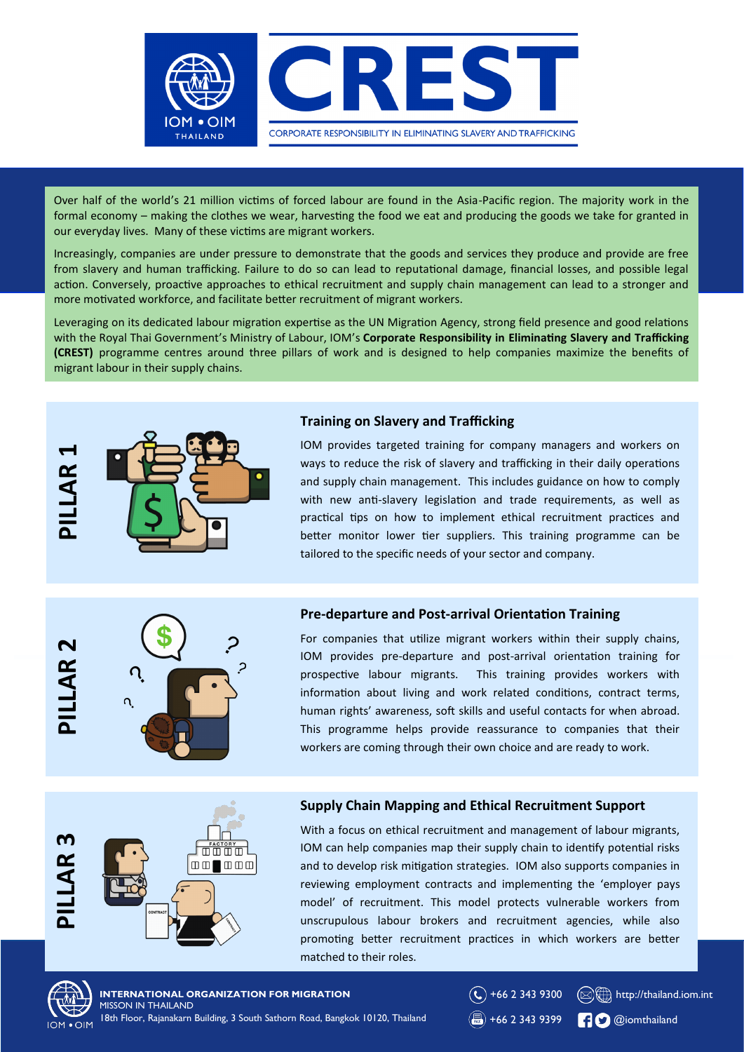

Over half of the world's 21 million victims of forced labour are found in the Asia-Pacific region. The majority work in the formal economy – making the clothes we wear, harvesting the food we eat and producing the goods we take for granted in our everyday lives. Many of these victims are migrant workers.

Increasingly, companies are under pressure to demonstrate that the goods and services they produce and provide are free from slavery and human trafficking. Failure to do so can lead to reputational damage, financial losses, and possible legal action. Conversely, proactive approaches to ethical recruitment and supply chain management can lead to a stronger and more motivated workforce, and facilitate better recruitment of migrant workers.

Leveraging on its dedicated labour migration expertise as the UN Migration Agency, strong field presence and good relations with the Royal Thai Government's Ministry of Labour, IOM's **Corporate Responsibility in Eliminating Slavery and Trafficking (CREST)** programme centres around three pillars of work and is designed to help companies maximize the benefits of migrant labour in their supply chains.



# **Training on Slavery and Trafficking**

IOM provides targeted training for company managers and workers on ways to reduce the risk of slavery and trafficking in their daily operations and supply chain management. This includes guidance on how to comply with new anti-slavery legislation and trade requirements, as well as practical tips on how to implement ethical recruitment practices and better monitor lower tier suppliers. This training programme can be tailored to the specific needs of your sector and company.

# **PILLAR 3 PILLAR 2 LAR**



# **Pre-departure and Post-arrival Orientation Training**

information about living and work related conditions, contract terms, For companies that utilize migrant workers within their supply chains, IOM provides pre-departure and post-arrival orientation training for prospective labour migrants. This training provides workers with human rights' awareness, soft skills and useful contacts for when abroad. This programme helps provide reassurance to companies that their workers are coming through their own choice and are ready to work.



# **Supply Chain Mapping and Ethical Recruitment Support**

With a focus on ethical recruitment and management of labour migrants, IOM can help companies map their supply chain to identify potential risks and to develop risk mitigation strategies. IOM also supports companies in reviewing employment contracts and implementing the 'employer pays model' of recruitment. This model protects vulnerable workers from unscrupulous labour brokers and recruitment agencies, while also promoting better recruitment practices in which workers are better matched to their roles.



**INTERNATIONAL ORGANIZATION FOR MIGRATION** MISSON IN THAILAND 18th Floor, Rajanakarn Building, 3 South Sathorn Road, Bangkok 10120, Thailand

 $\circledR$  +66 2 343 9399 **C** @iomthailand

 $\left(\bigodot\right)$  +66 2 343 9300

 $\bigcirc$  +66 2 343 9300  $\bigcirc$  http://thailand.iom.int